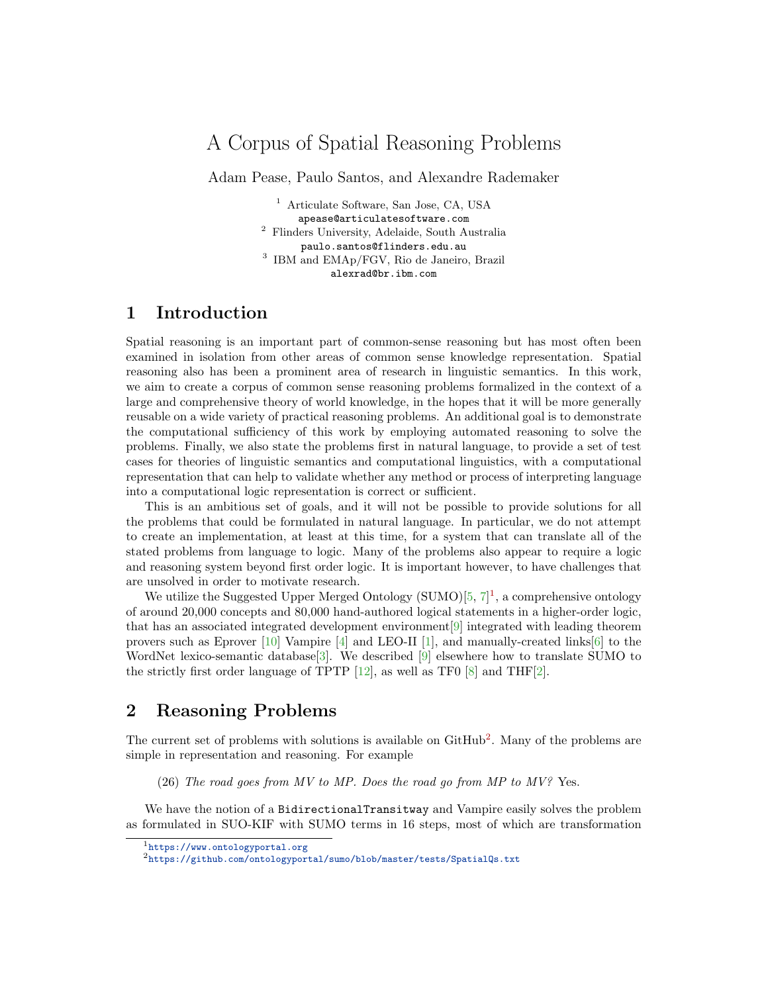## A Corpus of Spatial Reasoning Problems

Adam Pease, Paulo Santos, and Alexandre Rademaker

<sup>1</sup> Articulate Software, San Jose, CA, USA apease@articulatesoftware.com <sup>2</sup> Flinders University, Adelaide, South Australia paulo.santos@flinders.edu.au 3 IBM and EMAp/FGV, Rio de Janeiro, Brazil alexrad@br.ibm.com

## 1 Introduction

Spatial reasoning is an important part of common-sense reasoning but has most often been examined in isolation from other areas of common sense knowledge representation. Spatial reasoning also has been a prominent area of research in linguistic semantics. In this work, we aim to create a corpus of common sense reasoning problems formalized in the context of a large and comprehensive theory of world knowledge, in the hopes that it will be more generally reusable on a wide variety of practical reasoning problems. An additional goal is to demonstrate the computational sufficiency of this work by employing automated reasoning to solve the problems. Finally, we also state the problems first in natural language, to provide a set of test cases for theories of linguistic semantics and computational linguistics, with a computational representation that can help to validate whether any method or process of interpreting language into a computational logic representation is correct or sufficient.

This is an ambitious set of goals, and it will not be possible to provide solutions for all the problems that could be formulated in natural language. In particular, we do not attempt to create an implementation, at least at this time, for a system that can translate all of the stated problems from language to logic. Many of the problems also appear to require a logic and reasoning system beyond first order logic. It is important however, to have challenges that are unsolved in order to motivate research.

We utilize the Suggested Upper Merged Ontology  $(SUMO)[5, 7]^1$  $(SUMO)[5, 7]^1$  $(SUMO)[5, 7]^1$  $(SUMO)[5, 7]^1$  $(SUMO)[5, 7]^1$  $(SUMO)[5, 7]^1$ , a comprehensive ontology of around 20,000 concepts and 80,000 hand-authored logical statements in a higher-order logic, that has an associated integrated development environment[\[9\]](#page-2-2) integrated with leading theorem provers such as Eprover  $[10]$  Vampire  $[4]$  and LEO-II  $[1]$ , and manually-created links $[6]$  to the WordNet lexico-semantic database[\[3\]](#page-2-7). We described [\[9\]](#page-2-2) elsewhere how to translate SUMO to the strictly first order language of TPTP  $[12]$ , as well as TF0  $[8]$  and THF $[2]$ .

## 2 Reasoning Problems

The current set of problems with solutions is available on  $\text{GitHub}^2$  $\text{GitHub}^2$ . Many of the problems are simple in representation and reasoning. For example

(26) The road goes from MV to MP. Does the road go from MP to  $MV$ ? Yes.

We have the notion of a BidirectionalTransitway and Vampire easily solves the problem as formulated in SUO-KIF with SUMO terms in 16 steps, most of which are transformation

<span id="page-0-0"></span><sup>1</sup><https://www.ontologyportal.org>

<span id="page-0-1"></span> $^2$ <https://github.com/ontologyportal/sumo/blob/master/tests/SpatialQs.txt>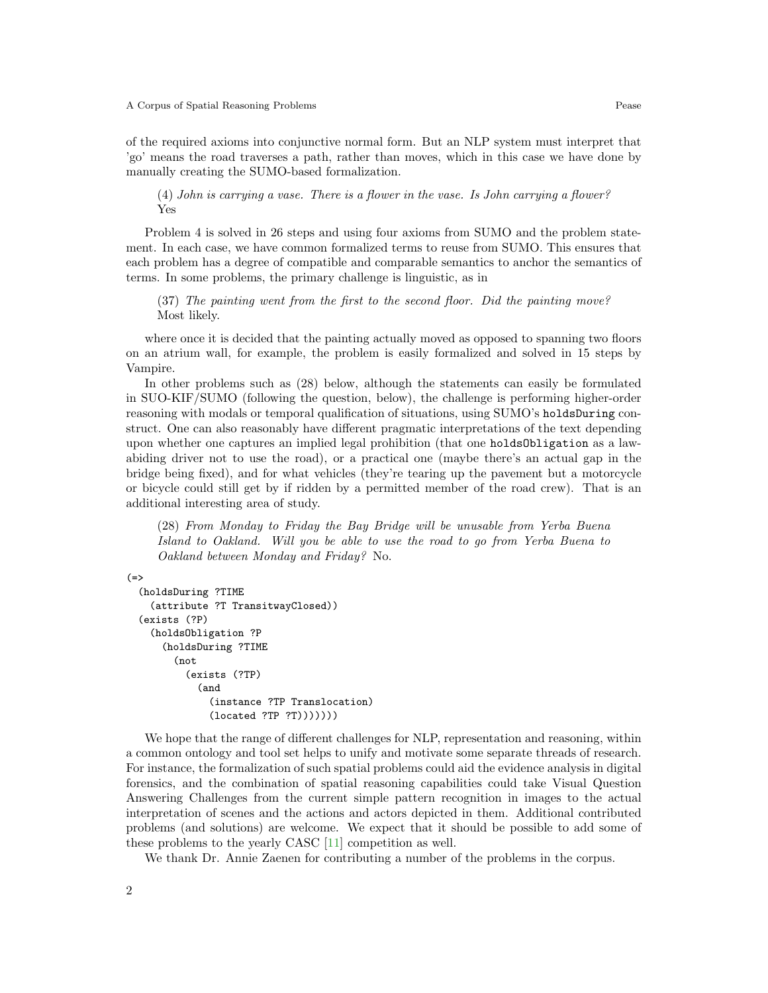of the required axioms into conjunctive normal form. But an NLP system must interpret that 'go' means the road traverses a path, rather than moves, which in this case we have done by manually creating the SUMO-based formalization.

(4) John is carrying a vase. There is a flower in the vase. Is John carrying a flower? Yes

Problem 4 is solved in 26 steps and using four axioms from SUMO and the problem statement. In each case, we have common formalized terms to reuse from SUMO. This ensures that each problem has a degree of compatible and comparable semantics to anchor the semantics of terms. In some problems, the primary challenge is linguistic, as in

(37) The painting went from the first to the second floor. Did the painting move? Most likely.

where once it is decided that the painting actually moved as opposed to spanning two floors on an atrium wall, for example, the problem is easily formalized and solved in 15 steps by Vampire.

In other problems such as (28) below, although the statements can easily be formulated in SUO-KIF/SUMO (following the question, below), the challenge is performing higher-order reasoning with modals or temporal qualification of situations, using SUMO's holdsDuring construct. One can also reasonably have different pragmatic interpretations of the text depending upon whether one captures an implied legal prohibition (that one holdsObligation as a lawabiding driver not to use the road), or a practical one (maybe there's an actual gap in the bridge being fixed), and for what vehicles (they're tearing up the pavement but a motorcycle or bicycle could still get by if ridden by a permitted member of the road crew). That is an additional interesting area of study.

(28) From Monday to Friday the Bay Bridge will be unusable from Yerba Buena Island to Oakland. Will you be able to use the road to go from Yerba Buena to Oakland between Monday and Friday? No.

```
(=>
```

```
(holdsDuring ?TIME
  (attribute ?T TransitwayClosed))
(exists (?P)
  (holdsObligation ?P
    (holdsDuring ?TIME
      (not
        (exists (?TP)
          (and
            (instance ?TP Translocation)
            (located ?TP ?T)))))))
```
We hope that the range of different challenges for NLP, representation and reasoning, within a common ontology and tool set helps to unify and motivate some separate threads of research. For instance, the formalization of such spatial problems could aid the evidence analysis in digital forensics, and the combination of spatial reasoning capabilities could take Visual Question Answering Challenges from the current simple pattern recognition in images to the actual interpretation of scenes and the actions and actors depicted in them. Additional contributed problems (and solutions) are welcome. We expect that it should be possible to add some of these problems to the yearly CASC [\[11\]](#page-2-11) competition as well.

We thank Dr. Annie Zaenen for contributing a number of the problems in the corpus.